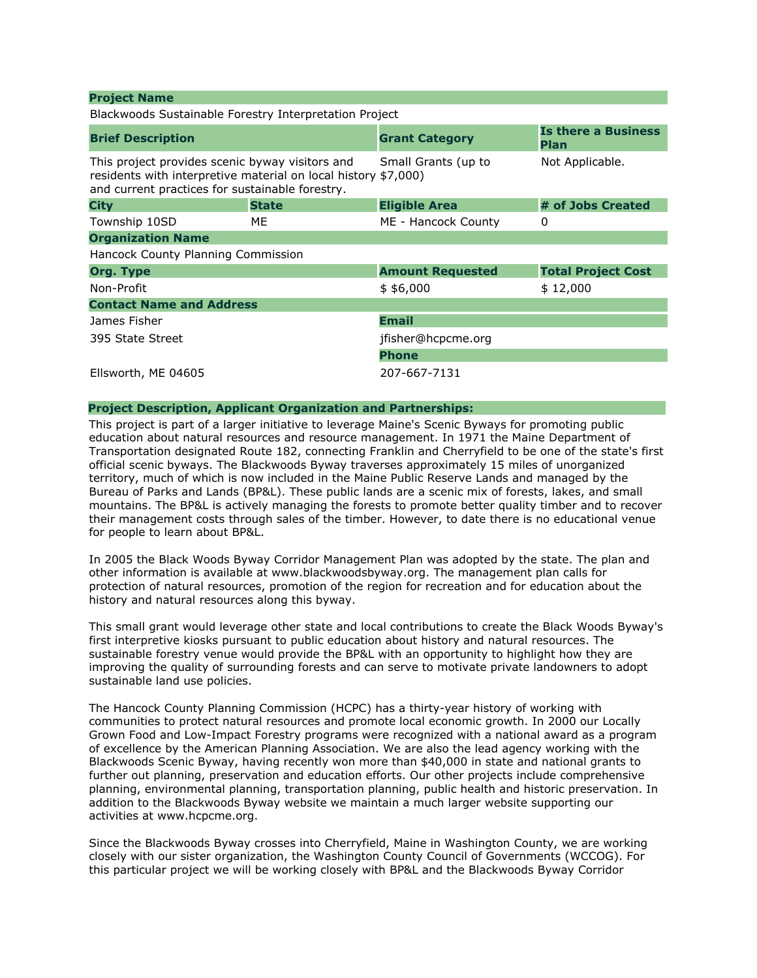| <b>Project Name</b>                                                                                                                                                  |              |                         |                                           |
|----------------------------------------------------------------------------------------------------------------------------------------------------------------------|--------------|-------------------------|-------------------------------------------|
| Blackwoods Sustainable Forestry Interpretation Project                                                                                                               |              |                         |                                           |
| <b>Brief Description</b>                                                                                                                                             |              | <b>Grant Category</b>   | <b>Is there a Business</b><br><b>Plan</b> |
| This project provides scenic byway visitors and<br>residents with interpretive material on local history \$7,000)<br>and current practices for sustainable forestry. |              | Small Grants (up to     | Not Applicable.                           |
| <b>City</b>                                                                                                                                                          | <b>State</b> | <b>Eligible Area</b>    | # of Jobs Created                         |
| Township 10SD                                                                                                                                                        | ME           | ME - Hancock County     | 0                                         |
| <b>Organization Name</b>                                                                                                                                             |              |                         |                                           |
| Hancock County Planning Commission                                                                                                                                   |              |                         |                                           |
| <b>Org. Type</b>                                                                                                                                                     |              | <b>Amount Requested</b> | <b>Total Project Cost</b>                 |
| Non-Profit                                                                                                                                                           |              | \$4,000                 | \$12,000                                  |
| <b>Contact Name and Address</b>                                                                                                                                      |              |                         |                                           |
| James Fisher                                                                                                                                                         |              | <b>Email</b>            |                                           |
| 395 State Street                                                                                                                                                     |              | jfisher@hcpcme.org      |                                           |
|                                                                                                                                                                      |              | <b>Phone</b>            |                                           |
|                                                                                                                                                                      |              |                         |                                           |

### Project Description, Applicant Organization and Partnerships:

Ellsworth, ME 04605 207-667-7131

This project is part of a larger initiative to leverage Maine's Scenic Byways for promoting public education about natural resources and resource management. In 1971 the Maine Department of Transportation designated Route 182, connecting Franklin and Cherryfield to be one of the state's first official scenic byways. The Blackwoods Byway traverses approximately 15 miles of unorganized territory, much of which is now included in the Maine Public Reserve Lands and managed by the Bureau of Parks and Lands (BP&L). These public lands are a scenic mix of forests, lakes, and small mountains. The BP&L is actively managing the forests to promote better quality timber and to recover their management costs through sales of the timber. However, to date there is no educational venue for people to learn about BP&L.

In 2005 the Black Woods Byway Corridor Management Plan was adopted by the state. The plan and other information is available at www.blackwoodsbyway.org. The management plan calls for protection of natural resources, promotion of the region for recreation and for education about the history and natural resources along this byway.

This small grant would leverage other state and local contributions to create the Black Woods Byway's first interpretive kiosks pursuant to public education about history and natural resources. The sustainable forestry venue would provide the BP&L with an opportunity to highlight how they are improving the quality of surrounding forests and can serve to motivate private landowners to adopt sustainable land use policies.

The Hancock County Planning Commission (HCPC) has a thirty-year history of working with communities to protect natural resources and promote local economic growth. In 2000 our Locally Grown Food and Low-Impact Forestry programs were recognized with a national award as a program of excellence by the American Planning Association. We are also the lead agency working with the Blackwoods Scenic Byway, having recently won more than \$40,000 in state and national grants to further out planning, preservation and education efforts. Our other projects include comprehensive planning, environmental planning, transportation planning, public health and historic preservation. In addition to the Blackwoods Byway website we maintain a much larger website supporting our activities at www.hcpcme.org.

Since the Blackwoods Byway crosses into Cherryfield, Maine in Washington County, we are working closely with our sister organization, the Washington County Council of Governments (WCCOG). For this particular project we will be working closely with BP&L and the Blackwoods Byway Corridor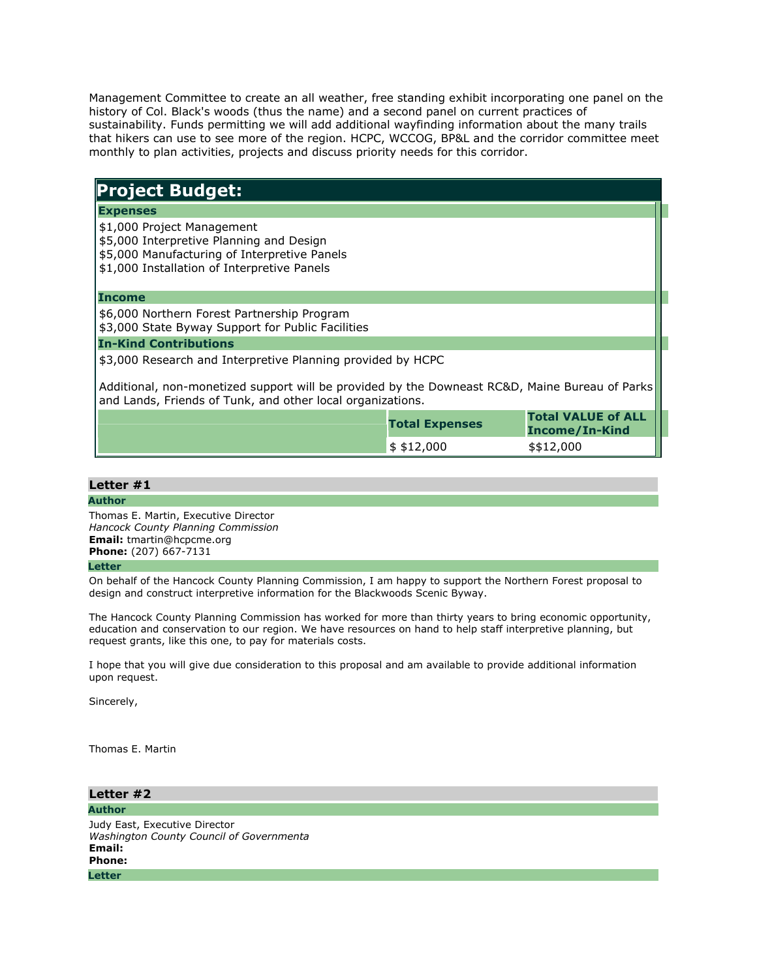Management Committee to create an all weather, free standing exhibit incorporating one panel on the history of Col. Black's woods (thus the name) and a second panel on current practices of sustainability. Funds permitting we will add additional wayfinding information about the many trails that hikers can use to see more of the region. HCPC, WCCOG, BP&L and the corridor committee meet monthly to plan activities, projects and discuss priority needs for this corridor.

# Project Budget:

### **Expenses**

- \$1,000 Project Management
- \$5,000 Interpretive Planning and Design
- \$5,000 Manufacturing of Interpretive Panels
- \$1,000 Installation of Interpretive Panels

## Income

\$6,000 Northern Forest Partnership Program

\$3,000 State Byway Support for Public Facilities

#### In-Kind Contributions

\$3,000 Research and Interpretive Planning provided by HCPC

Additional, non-monetized support will be provided by the Downeast RC&D, Maine Bureau of Parks and Lands, Friends of Tunk, and other local organizations.

| <b>Total Expenses</b>  | <b>Total VALUE of ALL</b><br>Income/In-Kind |  |
|------------------------|---------------------------------------------|--|
| $\frac{1}{2}$ \$12,000 | \$\$12,000                                  |  |

## Letter #1

#### Author

Thomas E. Martin, Executive Director Hancock County Planning Commission Email: tmartin@hcpcme.org Phone: (207) 667-7131

#### **Letter**

On behalf of the Hancock County Planning Commission, I am happy to support the Northern Forest proposal to design and construct interpretive information for the Blackwoods Scenic Byway.

The Hancock County Planning Commission has worked for more than thirty years to bring economic opportunity, education and conservation to our region. We have resources on hand to help staff interpretive planning, but request grants, like this one, to pay for materials costs.

I hope that you will give due consideration to this proposal and am available to provide additional information upon request.

Sincerely,

Thomas E. Martin

Letter #2 Author Judy East, Executive Director Washington County Council of Governmenta Email: Phone: **Letter**